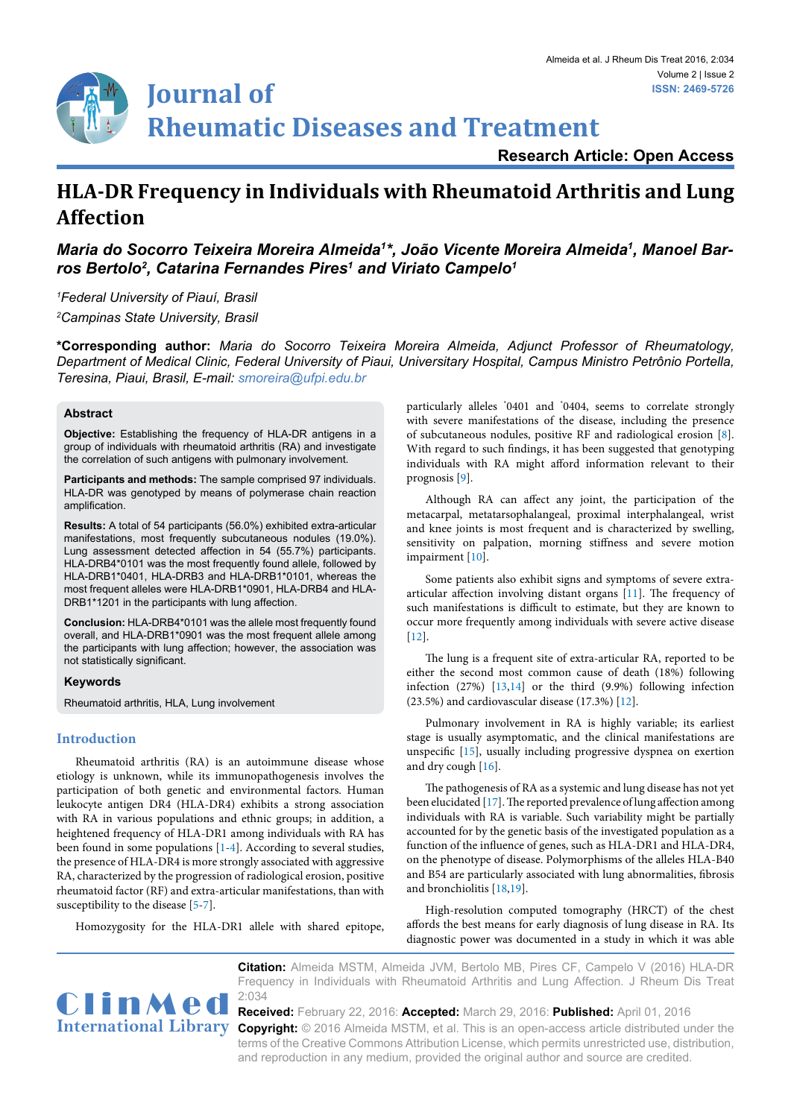**Research Article: Open Access**

# **HLA-DR Frequency in Individuals with Rheumatoid Arthritis and Lung Affection**

*Maria do Socorro Teixeira Moreira Almeida1 \*, João Vicente Moreira Almeida1 , Manoel Barros Bertolo2 , Catarina Fernandes Pires1 and Viriato Campelo1*

*1 Federal University of Piauí, Brasil 2 Campinas State University, Brasil*

**\*Corresponding author:** *Maria do Socorro Teixeira Moreira Almeida, Adjunct Professor of Rheumatology, Department of Medical Clinic, Federal University of Piaui, Universitary Hospital, Campus Ministro Petrônio Portella, Teresina, Piaui, Brasil, E-mail: smoreira@ufpi.edu.br*

# **Abstract**

**Objective:** Establishing the frequency of HLA-DR antigens in a group of individuals with rheumatoid arthritis (RA) and investigate the correlation of such antigens with pulmonary involvement.

**Participants and methods:** The sample comprised 97 individuals. HLA-DR was genotyped by means of polymerase chain reaction amplification.

**Results:** A total of 54 participants (56.0%) exhibited extra-articular manifestations, most frequently subcutaneous nodules (19.0%). Lung assessment detected affection in 54 (55.7%) participants. HLA-DRB4\*0101 was the most frequently found allele, followed by HLA-DRB1\*0401, HLA-DRB3 and HLA-DRB1\*0101, whereas the most frequent alleles were HLA-DRB1\*0901, HLA-DRB4 and HLA-DRB1\*1201 in the participants with lung affection.

**Conclusion:** HLA-DRB4\*0101 was the allele most frequently found overall, and HLA-DRB1\*0901 was the most frequent allele among the participants with lung affection; however, the association was not statistically significant.

#### **Keywords**

Rheumatoid arthritis, HLA, Lung involvement

# **Introduction**

Rheumatoid arthritis (RA) is an autoimmune disease whose etiology is unknown, while its immunopathogenesis involves the participation of both genetic and environmental factors. Human leukocyte antigen DR4 (HLA-DR4) exhibits a strong association with RA in various populations and ethnic groups; in addition, a heightened frequency of HLA-DR1 among individuals with RA has been found in some populations [[1-](#page-2-0)[4](#page-2-1)]. According to several studies, the presence of HLA-DR4 is more strongly associated with aggressive RA, characterized by the progression of radiological erosion, positive rheumatoid factor (RF) and extra-articular manifestations, than with susceptibility to the disease [\[5-](#page-2-2)[7](#page-3-12)].

Homozygosity for the HLA-DR1 allele with shared epitope,

particularly alleles \* 0401 and \* 0404, seems to correlate strongly with severe manifestations of the disease, including the presence of subcutaneous nodules, positive RF and radiological erosion [\[8\]](#page-3-0). With regard to such findings, it has been suggested that genotyping individuals with RA might afford information relevant to their prognosis [[9\]](#page-3-1).

Although RA can affect any joint, the participation of the metacarpal, metatarsophalangeal, proximal interphalangeal, wrist and knee joints is most frequent and is characterized by swelling, sensitivity on palpation, morning stiffness and severe motion impairment [\[10\]](#page-3-2).

Some patients also exhibit signs and symptoms of severe extraarticular affection involving distant organs [[11](#page-3-3)]. The frequency of such manifestations is difficult to estimate, but they are known to occur more frequently among individuals with severe active disease [\[12\]](#page-3-4).

The lung is a frequent site of extra-articular RA, reported to be either the second most common cause of death (18%) following infection (27%) [\[13,](#page-3-5)[14](#page-3-6)] or the third (9.9%) following infection (23.5%) and cardiovascular disease (17.3%) [[12\]](#page-3-4).

Pulmonary involvement in RA is highly variable; its earliest stage is usually asymptomatic, and the clinical manifestations are unspecific [[15\]](#page-3-7), usually including progressive dyspnea on exertion and dry cough [\[16](#page-3-8)].

The pathogenesis of RA as a systemic and lung disease has not yet been elucidated [\[17\]](#page-3-9). The reported prevalence of lung affection among individuals with RA is variable. Such variability might be partially accounted for by the genetic basis of the investigated population as a function of the influence of genes, such as HLA-DR1 and HLA-DR4, on the phenotype of disease. Polymorphisms of the alleles HLA-B40 and B54 are particularly associated with lung abnormalities, fibrosis and bronchiolitis [\[18,](#page-3-10)[19](#page-3-11)].

High-resolution computed tomography (HRCT) of the chest affords the best means for early diagnosis of lung disease in RA. Its diagnostic power was documented in a study in which it was able



**Citation:** Almeida MSTM, Almeida JVM, Bertolo MB, Pires CF, Campelo V (2016) HLA-DR Frequency in Individuals with Rheumatoid Arthritis and Lung Affection. J Rheum Dis Treat

International Library Copyright: © 2016 Almeida MSTM, et al. This is an open-access article distributed under the **Received:** February 22, 2016: **Accepted:** March 29, 2016: **Published:** April 01, 2016 terms of the Creative Commons Attribution License, which permits unrestricted use, distribution, and reproduction in any medium, provided the original author and source are credited.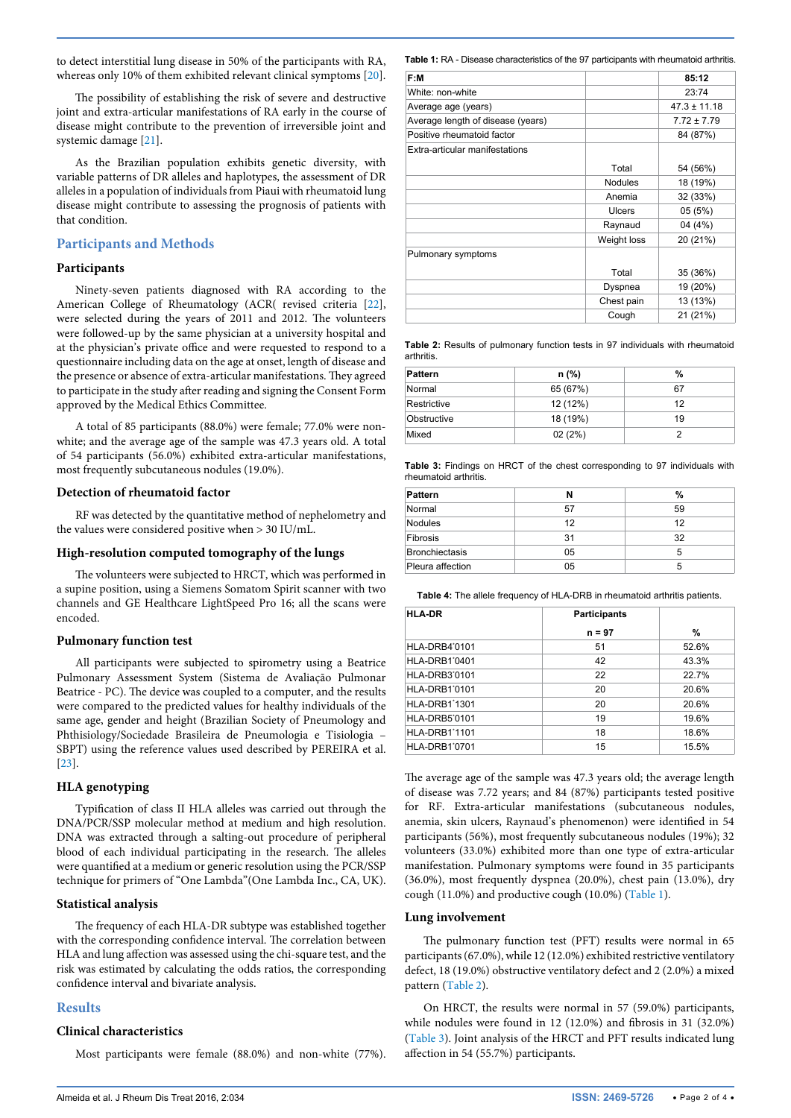to detect interstitial lung disease in 50% of the participants with RA, whereas only 10% of them exhibited relevant clinical symptoms [[20](#page-3-13)].

The possibility of establishing the risk of severe and destructive joint and extra-articular manifestations of RA early in the course of disease might contribute to the prevention of irreversible joint and systemic damage [[21](#page-3-14)].

As the Brazilian population exhibits genetic diversity, with variable patterns of DR alleles and haplotypes, the assessment of DR alleles in a population of individuals from Piaui with rheumatoid lung disease might contribute to assessing the prognosis of patients with that condition.

# **Participants and Methods**

# **Participants**

Ninety-seven patients diagnosed with RA according to the American College of Rheumatology (ACR( revised criteria [[22](#page-3-15)], were selected during the years of 2011 and 2012. The volunteers were followed-up by the same physician at a university hospital and at the physician's private office and were requested to respond to a questionnaire including data on the age at onset, length of disease and the presence or absence of extra-articular manifestations. They agreed to participate in the study after reading and signing the Consent Form approved by the Medical Ethics Committee.

A total of 85 participants (88.0%) were female; 77.0% were nonwhite; and the average age of the sample was 47.3 years old. A total of 54 participants (56.0%) exhibited extra-articular manifestations, most frequently subcutaneous nodules (19.0%).

# **Detection of rheumatoid factor**

RF was detected by the quantitative method of nephelometry and the values were considered positive when > 30 IU/mL.

#### **High-resolution computed tomography of the lungs**

The volunteers were subjected to HRCT, which was performed in a supine position, using a Siemens Somatom Spirit scanner with two channels and GE Healthcare LightSpeed Pro 16; all the scans were encoded.

# **Pulmonary function test**

All participants were subjected to spirometry using a Beatrice Pulmonary Assessment System (Sistema de Avaliação Pulmonar Beatrice - PC). The device was coupled to a computer, and the results were compared to the predicted values for healthy individuals of the same age, gender and height (Brazilian Society of Pneumology and Phthisiology/Sociedade Brasileira de Pneumologia e Tisiologia – SBPT) using the reference values used described by PEREIRA et al. [[23](#page-3-16)].

# **HLA genotyping**

Typification of class II HLA alleles was carried out through the DNA/PCR/SSP molecular method at medium and high resolution. DNA was extracted through a salting-out procedure of peripheral blood of each individual participating in the research. The alleles were quantified at a medium or generic resolution using the PCR/SSP technique for primers of "One Lambda"(One Lambda Inc., CA, UK).

#### **Statistical analysis**

The frequency of each HLA-DR subtype was established together with the corresponding confidence interval. The correlation between HLA and lung affection was assessed using the chi-square test, and the risk was estimated by calculating the odds ratios, the corresponding confidence interval and bivariate analysis.

# **Results**

# **Clinical characteristics**

Most participants were female (88.0%) and non-white (77%).

<span id="page-1-0"></span>**Table 1:** RA - Disease characteristics of the 97 participants with rheumatoid arthritis.

| F:M                               |                | 85:12            |
|-----------------------------------|----------------|------------------|
| White: non-white                  |                | 23:74            |
| Average age (years)               |                | $47.3 \pm 11.18$ |
| Average length of disease (years) |                | $7.72 \pm 7.79$  |
| Positive rheumatoid factor        |                | 84 (87%)         |
| Extra-articular manifestations    |                |                  |
|                                   | Total          | 54 (56%)         |
|                                   | <b>Nodules</b> | 18 (19%)         |
|                                   | Anemia         | 32 (33%)         |
|                                   | Ulcers         | 05(5%)           |
|                                   | Raynaud        | 04 (4%)          |
|                                   | Weight loss    | 20 (21%)         |
| Pulmonary symptoms                |                |                  |
|                                   | Total          | 35 (36%)         |
|                                   | Dyspnea        | 19 (20%)         |
|                                   | Chest pain     | 13 (13%)         |
|                                   | Cough          | 21 (21%)         |

<span id="page-1-1"></span>**Table 2:** Results of pulmonary function tests in 97 individuals with rheumatoid **arthritis** 

| <b>Pattern</b> | n (%)    | %  |  |  |
|----------------|----------|----|--|--|
| Normal         | 65 (67%) | 67 |  |  |
| Restrictive    | 12 (12%) | 12 |  |  |
| Obstructive    | 18 (19%) | 19 |  |  |
| Mixed          | 02(2%)   | っ  |  |  |

<span id="page-1-2"></span>**Table 3:** Findings on HRCT of the chest corresponding to 97 individuals with rheumatoid arthritis.

| <b>Pattern</b>        |    | %  |
|-----------------------|----|----|
| Normal                | 57 | 59 |
| <b>Nodules</b>        | 12 | 12 |
| Fibrosis              | 31 | 32 |
| <b>Bronchiectasis</b> | 05 | 5  |
| Pleura affection      | 05 | 5  |

<span id="page-1-3"></span>**Table 4:** The allele frequency of HLA-DRB in rheumatoid arthritis patients.

| <b>HLA-DR</b>        | <b>Participants</b> |       |
|----------------------|---------------------|-------|
|                      | $n = 97$            | %     |
| <b>HLA-DRB4'0101</b> | 51                  | 52.6% |
| HLA-DRB1'0401        | 42                  | 43.3% |
| HLA-DRB3'0101        | 22                  | 22.7% |
| <b>HLA-DRB1'0101</b> | 20                  | 20.6% |
| <b>HLA-DRB1'1301</b> | 20                  | 20.6% |
| <b>HLA-DRB5'0101</b> | 19                  | 19.6% |
| HLA-DRB1'1101        | 18                  | 18.6% |
| <b>HLA-DRB1'0701</b> | 15                  | 15.5% |

The average age of the sample was 47.3 years old; the average length of disease was 7.72 years; and 84 (87%) participants tested positive for RF. Extra-articular manifestations (subcutaneous nodules, anemia, skin ulcers, Raynaud's phenomenon) were identified in 54 participants (56%), most frequently subcutaneous nodules (19%); 32 volunteers (33.0%) exhibited more than one type of extra-articular manifestation. Pulmonary symptoms were found in 35 participants (36.0%), most frequently dyspnea (20.0%), chest pain (13.0%), dry cough (11.0%) and productive cough (10.0%) [\(Table 1\)](#page-1-0).

#### **Lung involvement**

The pulmonary function test (PFT) results were normal in 65 participants (67.0%), while 12 (12.0%) exhibited restrictive ventilatory defect, 18 (19.0%) obstructive ventilatory defect and 2 (2.0%) a mixed pattern [\(Table 2\)](#page-1-1).

On HRCT, the results were normal in 57 (59.0%) participants, while nodules were found in 12 (12.0%) and fibrosis in 31 (32.0%) ([Table 3\)](#page-1-2). Joint analysis of the HRCT and PFT results indicated lung affection in 54 (55.7%) participants.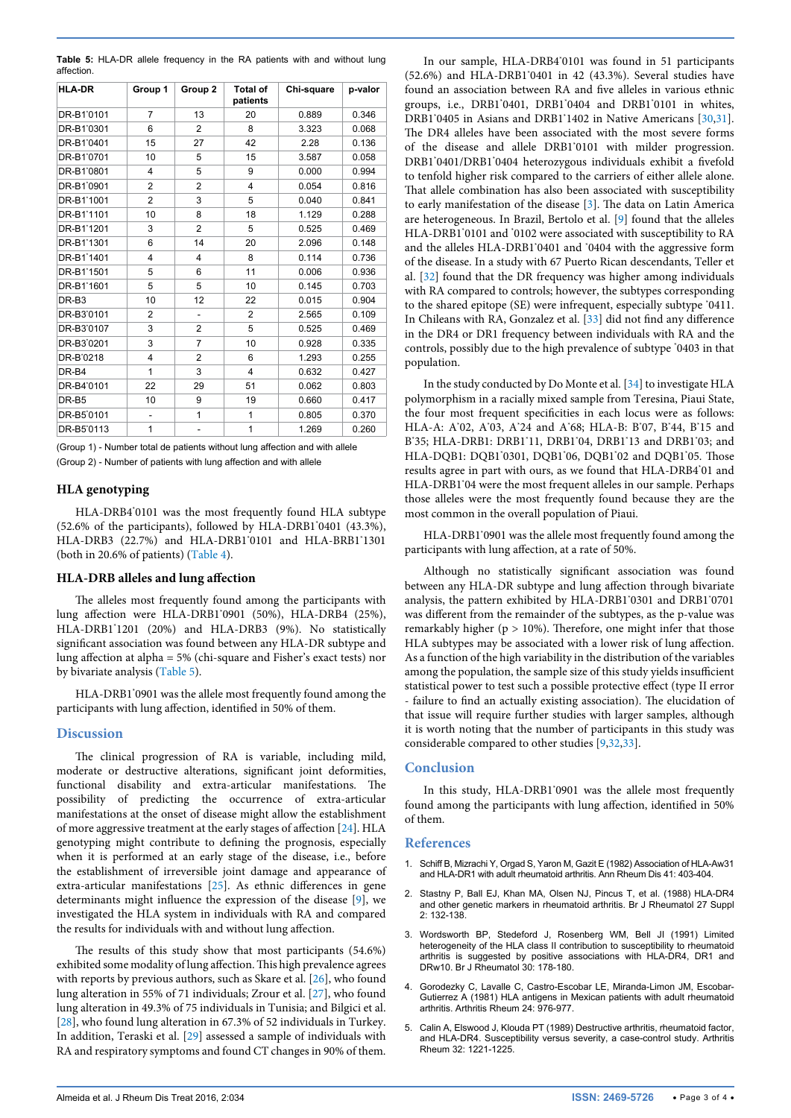<span id="page-2-3"></span>

|            |  | <b>Table 5:</b> HLA-DR allele frequency in the RA patients with and without lung |  |  |  |  |
|------------|--|----------------------------------------------------------------------------------|--|--|--|--|
| affection. |  |                                                                                  |  |  |  |  |

| <b>HLA-DR</b>     | Group 1        | Group <sub>2</sub>       | <b>Total of</b><br>patients | Chi-square | p-valor |  |
|-------------------|----------------|--------------------------|-----------------------------|------------|---------|--|
| DR-B1'0101        | 7              | 13                       | 20                          | 0.889      | 0.346   |  |
| DR-B1'0301        | 6              | $\overline{2}$           | 8                           | 3.323      | 0.068   |  |
| DR-B1'0401        | 15             | 27                       | 42                          | 2.28       | 0.136   |  |
| DR-B1'0701        | 10             | 5                        | 15                          | 3.587      | 0.058   |  |
| DR-B1'0801        | 4              | 5                        | 9                           | 0.000      | 0.994   |  |
| DR-B1'0901        | $\overline{2}$ | $\overline{2}$           | 4                           | 0.054      | 0.816   |  |
| DR-B1'1001        | $\overline{2}$ | 3                        | 5                           | 0.040      | 0.841   |  |
| DR-B1'1101        | 10             | 8                        | 18                          | 1.129      | 0.288   |  |
| DR-B1'1201        | 3              | $\overline{2}$           | 5                           | 0.525      | 0.469   |  |
| DR-B1'1301        | 6              | 14                       | 20                          | 2.096      | 0.148   |  |
| DR-B1'1401        | 4              | 4                        | 8                           | 0.114      | 0.736   |  |
| DR-B1'1501        | 5              | 6                        | 11                          | 0.006      | 0.936   |  |
| DR-B1'1601        | 5              | 5                        | 10                          | 0.145      | 0.703   |  |
| DR-B <sub>3</sub> | 10             | 12                       | 22                          | 0.015      | 0.904   |  |
| DR-B3'0101        | 2              | $\overline{\phantom{a}}$ | $\overline{2}$              | 2.565      | 0.109   |  |
| DR-B3'0107        | 3              | $\overline{2}$           | 5                           | 0.525      | 0.469   |  |
| DR-B3'0201        | 3              | 7                        | 10                          | 0.928      | 0.335   |  |
| DR-B'0218         | 4              | $\overline{2}$           | 6                           | 1.293      | 0.255   |  |
| DR-B4             | 1              | 3                        | 4                           | 0.632      | 0.427   |  |
| DR-B4'0101        | 22             | 29                       | 51                          | 0.062      | 0.803   |  |
| DR-B5             | 10             | 9                        | 19                          | 0.660      | 0.417   |  |
| DR-B5'0101        | ٠              | 1                        | 1                           | 0.805      | 0.370   |  |
| DR-B5'0113        | 1              | $\overline{a}$           | 1                           | 1.269      | 0.260   |  |

(Group 1) - Number total de patients without lung affection and with allele (Group 2) - Number of patients with lung affection and with allele

# **HLA genotyping**

HLA-DRB4\* 0101 was the most frequently found HLA subtype (52.6% of the participants), followed by HLA-DRB1\* 0401 (43.3%), HLA-DRB3 (22.7%) and HLA-DRB1\* 0101 and HLA-BRB1\* 1301 (both in 20.6% of patients) ([Table 4](#page-1-3)).

#### **HLA-DRB alleles and lung affection**

The alleles most frequently found among the participants with lung affection were HLA-DRB1\* 0901 (50%), HLA-DRB4 (25%), HLA-DRB1\* 1201 (20%) and HLA-DRB3 (9%). No statistically significant association was found between any HLA-DR subtype and lung affection at alpha = 5% (chi-square and Fisher's exact tests) nor by bivariate analysis [\(Table 5\)](#page-2-3).

HLA-DRB1\* 0901 was the allele most frequently found among the participants with lung affection, identified in 50% of them.

# **Discussion**

The clinical progression of RA is variable, including mild, moderate or destructive alterations, significant joint deformities, functional disability and extra-articular manifestations. The possibility of predicting the occurrence of extra-articular manifestations at the onset of disease might allow the establishment of more aggressive treatment at the early stages of affection [\[24\]](#page-3-17). HLA genotyping might contribute to defining the prognosis, especially when it is performed at an early stage of the disease, i.e., before the establishment of irreversible joint damage and appearance of extra-articular manifestations [\[25](#page-3-18)]. As ethnic differences in gene determinants might influence the expression of the disease [[9](#page-3-1)], we investigated the HLA system in individuals with RA and compared the results for individuals with and without lung affection.

The results of this study show that most participants (54.6%) exhibited some modality of lung affection. This high prevalence agrees with reports by previous authors, such as Skare et al. [[26](#page-3-19)], who found lung alteration in 55% of 71 individuals; Zrour et al. [\[27\]](#page-3-20), who found lung alteration in 49.3% of 75 individuals in Tunisia; and Bilgici et al. [[28](#page-3-21)], who found lung alteration in 67.3% of 52 individuals in Turkey. In addition, Teraski et al. [[29](#page-3-22)] assessed a sample of individuals with RA and respiratory symptoms and found CT changes in 90% of them.

In our sample, HLA-DRB4\* 0101 was found in 51 participants (52.6%) and HLA-DRB1\* 0401 in 42 (43.3%). Several studies have found an association between RA and five alleles in various ethnic groups, i.e., DRB1\* 0401, DRB1\* 0404 and DRB1\* 0101 in whites, DRB1\* 0405 in Asians and DRB1\* 1402 in Native Americans [\[30,](#page-3-23)[31\]](#page-3-24). The DR4 alleles have been associated with the most severe forms of the disease and allele DRB1\* 0101 with milder progression. DRB1\* 0401/DRB1\* 0404 heterozygous individuals exhibit a fivefold to tenfold higher risk compared to the carriers of either allele alone. That allele combination has also been associated with susceptibility to early manifestation of the disease [\[3](#page-2-4)]. The data on Latin America are heterogeneous. In Brazil, Bertolo et al. [\[9\]](#page-3-1) found that the alleles HLA-DRB1\* 0101 and \* 0102 were associated with susceptibility to RA and the alleles HLA-DRB1\* 0401 and \* 0404 with the aggressive form of the disease. In a study with 67 Puerto Rican descendants, Teller et al. [[32](#page-3-25)] found that the DR frequency was higher among individuals with RA compared to controls; however, the subtypes corresponding to the shared epitope (SE) were infrequent, especially subtype \* 0411. In Chileans with RA, Gonzalez et al. [[33\]](#page-3-26) did not find any difference in the DR4 or DR1 frequency between individuals with RA and the controls, possibly due to the high prevalence of subtype \* 0403 in that population.

In the study conducted by Do Monte et al*.* [\[34](#page-3-27)] to investigate HLA polymorphism in a racially mixed sample from Teresina, Piaui State, the four most frequent specificities in each locus were as follows: HLA-A: A\* 02, A\* 03, A\* 24 and A\* 68; HLA-B: B\* 07, B\* 44, B\* 15 and B'35; HLA-DRB1: DRB1'11, DRB1'04, DRB1'13 and DRB1'03; and HLA-DQB1: DQB1'0301, DQB1'06, DQB1'02 and DQB1'05. Those results agree in part with ours, as we found that HLA-DRB4\* 01 and HLA-DRB1\* 04 were the most frequent alleles in our sample. Perhaps those alleles were the most frequently found because they are the most common in the overall population of Piaui.

HLA-DRB1\* 0901 was the allele most frequently found among the participants with lung affection, at a rate of 50%.

Although no statistically significant association was found between any HLA-DR subtype and lung affection through bivariate analysis, the pattern exhibited by HLA-DRB1\* 0301 and DRB1\* 0701 was different from the remainder of the subtypes, as the p-value was remarkably higher ( $p > 10\%$ ). Therefore, one might infer that those HLA subtypes may be associated with a lower risk of lung affection. As a function of the high variability in the distribution of the variables among the population, the sample size of this study yields insufficient statistical power to test such a possible protective effect (type II error - failure to find an actually existing association). The elucidation of that issue will require further studies with larger samples, although it is worth noting that the number of participants in this study was considerable compared to other studies [[9](#page-3-1)[,32,](#page-3-25)[33](#page-3-26)].

# **Conclusion**

In this study, HLA-DRB1\* 0901 was the allele most frequently found among the participants with lung affection, identified in 50% of them.

#### **References**

- <span id="page-2-0"></span>1. [Schiff B, Mizrachi Y, Orgad S, Yaron M, Gazit E \(1982\) Association of HLA-Aw31](http://www.ncbi.nlm.nih.gov/pubmed/6981387)  [and HLA-DR1 with adult rheumatoid arthritis. Ann Rheum Dis 41: 403-404.](http://www.ncbi.nlm.nih.gov/pubmed/6981387)
- 2. [Stastny P, Ball EJ, Khan MA, Olsen NJ, Pincus T, et al. \(1988\) HLA-DR4](http://www.ncbi.nlm.nih.gov/pubmed/3261186)  [and other genetic markers in rheumatoid arthritis. Br J Rheumatol 27 Suppl](http://www.ncbi.nlm.nih.gov/pubmed/3261186)  [2: 132-138.](http://www.ncbi.nlm.nih.gov/pubmed/3261186)
- <span id="page-2-4"></span>3. [Wordsworth BP, Stedeford J, Rosenberg WM, Bell JI \(1991\) Limited](http://www.ncbi.nlm.nih.gov/pubmed/2049576)  [heterogeneity of the HLA class II contribution to susceptibility to rheumatoid](http://www.ncbi.nlm.nih.gov/pubmed/2049576)  [arthritis is suggested by positive associations with HLA-DR4, DR1 and](http://www.ncbi.nlm.nih.gov/pubmed/2049576)  [DRw10. Br J Rheumatol 30: 178-180.](http://www.ncbi.nlm.nih.gov/pubmed/2049576)
- <span id="page-2-1"></span>4. [Gorodezky C, Lavalle C, Castro-Escobar LE, Miranda-Limon JM, Escobar-](http://www.ncbi.nlm.nih.gov/pubmed/7259811)[Gutierrez A \(1981\) HLA antigens in Mexican patients with adult rheumatoid](http://www.ncbi.nlm.nih.gov/pubmed/7259811)  [arthritis. Arthritis Rheum 24: 976-977.](http://www.ncbi.nlm.nih.gov/pubmed/7259811)
- <span id="page-2-2"></span>5. [Calin A, Elswood J, Klouda PT \(1989\) Destructive arthritis, rheumatoid factor,](http://www.ncbi.nlm.nih.gov/pubmed/2487036)  [and HLA-DR4. Susceptibility versus severity, a case-control study. Arthritis](http://www.ncbi.nlm.nih.gov/pubmed/2487036)  [Rheum 32: 1221-1225.](http://www.ncbi.nlm.nih.gov/pubmed/2487036)